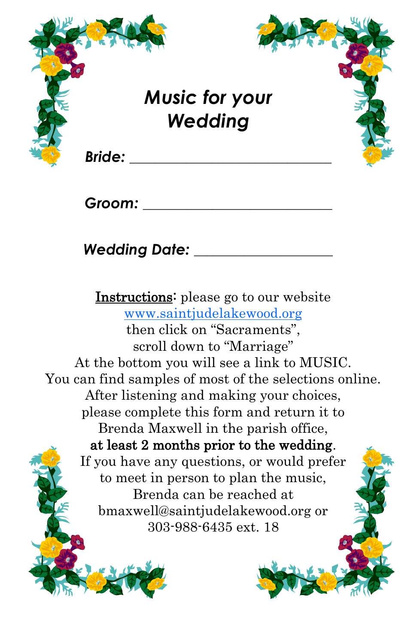

*Groom: \_\_\_\_\_\_\_\_\_\_\_\_\_\_\_\_\_\_\_\_\_\_\_\_\_\_\_\_\_\_*

*Wedding Date: \_\_\_\_\_\_\_\_\_\_\_\_\_\_\_\_\_\_\_\_\_\_*

Instructions: please go to our website [www.saintjudelakewood.org](http://www.saintjudelakewood.org) then click on "Sacraments", scroll down to "Marriage" At the bottom you will see a link to MUSIC. You can find samples of most of the selections online. After listening and making your choices, please complete this form and return it to Brenda Maxwell in the parish office, at least 2 months prior to the wedding. If you have any questions, or would prefer to meet in person to plan the music, Brenda can be reached at bmaxwell@saintjudelakewood.org or 303-988-6435 ext. 18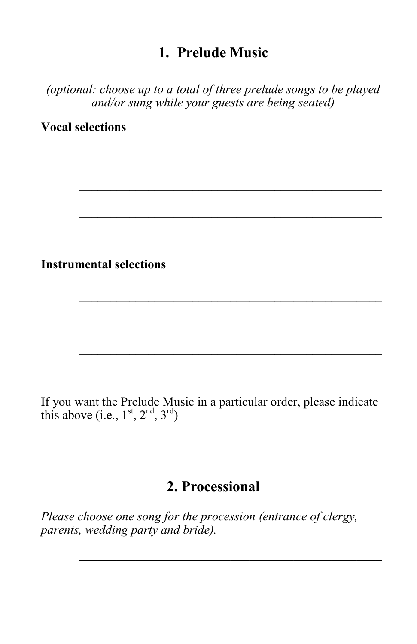### **1. Prelude Music**

*(optional: choose up to a total of three prelude songs to be played and/or sung while your guests are being seated)*

**Vocal selections**

**Instrumental selections**

If you want the Prelude Music in a particular order, please indicate this above (i.e.,  $1<sup>st</sup>$ ,  $2<sup>nd</sup>$ ,  $3<sup>rd</sup>$ )

\_\_\_\_\_\_\_\_\_\_\_\_\_\_\_\_\_\_\_\_\_\_\_\_\_\_\_\_\_\_\_\_\_\_\_\_\_\_\_\_\_\_\_\_\_\_\_\_

# **2. Processional**

 $\frac{1}{2}$  ,  $\frac{1}{2}$  ,  $\frac{1}{2}$  ,  $\frac{1}{2}$  ,  $\frac{1}{2}$  ,  $\frac{1}{2}$  ,  $\frac{1}{2}$  ,  $\frac{1}{2}$  ,  $\frac{1}{2}$  ,  $\frac{1}{2}$  ,  $\frac{1}{2}$  ,  $\frac{1}{2}$  ,  $\frac{1}{2}$  ,  $\frac{1}{2}$  ,  $\frac{1}{2}$  ,  $\frac{1}{2}$  ,  $\frac{1}{2}$  ,  $\frac{1}{2}$  ,  $\frac{1$ 

*Please choose one song for the procession (entrance of clergy, parents, wedding party and bride).*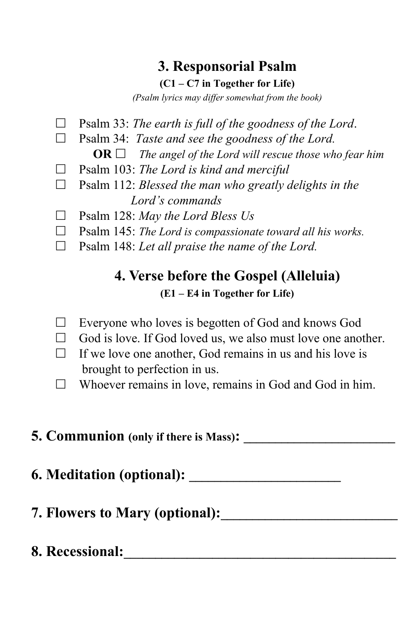# **3. Responsorial Psalm**

**(C1 – C7 in Together for Life)**

*(Psalm lyrics may differ somewhat from the book)*

- Psalm 33: *The earth is full of the goodness of the Lord*.
- □ Psalm 34: *Taste and see the goodness of the Lord.* 
	- **OR** *The angel of the Lord will rescue those who fear him*
- Psalm 103: *The Lord is kind and merciful*
- Psalm 112: *Blessed the man who greatly delights in the Lord's commands*
- Psalm 128: *May the Lord Bless Us*
- Psalm 145: *The Lord is compassionate toward all his works.*
- □ Psalm 148: *Let all praise the name of the Lord.*

# **4. Verse before the Gospel (Alleluia) (E1 – E4 in Together for Life)**

- $\Box$  Everyone who loves is begotten of God and knows God
- $\Box$  God is love. If God loved us, we also must love one another.
- $\Box$  If we love one another, God remains in us and his love is brought to perfection in us.
- Whoever remains in love, remains in God and God in him.

### **5. Communion (only if there is Mass): \_\_\_\_\_\_\_\_\_\_\_\_\_\_\_\_\_\_\_\_\_\_\_\_**

**6. Meditation (optional): \_\_\_\_\_\_\_\_\_\_\_\_\_\_\_\_\_\_\_\_\_\_\_\_**

- **7. Flowers to Mary (optional):\_\_\_\_\_\_\_\_\_\_\_\_\_\_\_\_\_\_\_\_\_\_\_\_\_\_\_\_**
- **8. Recessional:\_\_\_\_\_\_\_\_\_\_\_\_\_\_\_\_\_\_\_\_\_\_\_\_\_\_\_\_\_\_\_\_\_\_\_\_\_\_\_\_\_\_\_**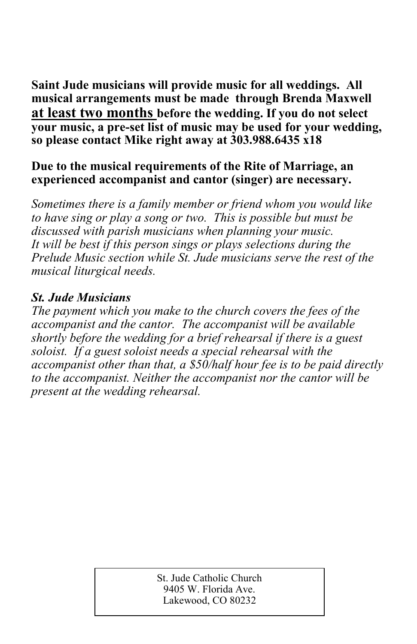**Saint Jude musicians will provide music for all weddings. All musical arrangements must be made through Brenda Maxwell at least two months before the wedding. If you do not select your music, a pre-set list of music may be used for your wedding, so please contact Mike right away at 303.988.6435 x18**

#### **Due to the musical requirements of the Rite of Marriage, an experienced accompanist and cantor (singer) are necessary.**

*Sometimes there is a family member or friend whom you would like to have sing or play a song or two. This is possible but must be discussed with parish musicians when planning your music. It will be best if this person sings or plays selections during the Prelude Music section while St. Jude musicians serve the rest of the musical liturgical needs.*

### *St. Jude Musicians*

*The payment which you make to the church covers the fees of the accompanist and the cantor. The accompanist will be available shortly before the wedding for a brief rehearsal if there is a guest soloist. If a guest soloist needs a special rehearsal with the accompanist other than that, a \$50/half hour fee is to be paid directly to the accompanist. Neither the accompanist nor the cantor will be present at the wedding rehearsal.* 

> St. Jude Catholic Church 9405 W. Florida Ave. Lakewood, CO 80232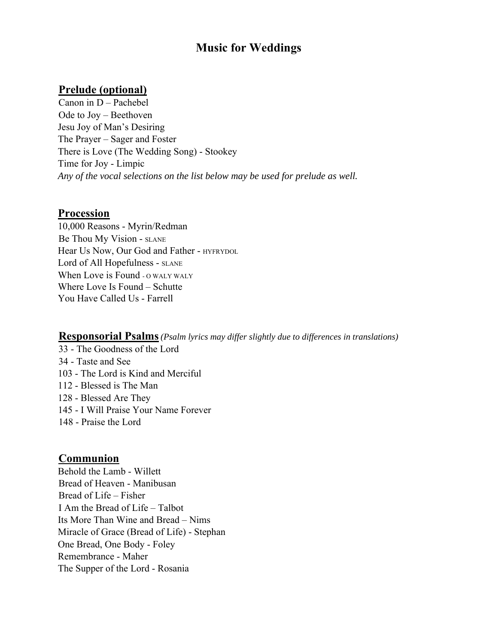# **Music for Weddings**

### **Prelude (optional)**

Canon in D – Pachebel Ode to Joy – Beethoven Jesu Joy of Man's Desiring The Prayer – Sager and Foster There is Love (The Wedding Song) - Stookey Time for Joy - Limpic *Any of the vocal selections on the list below may be used for prelude as well.* 

#### **Procession**

10,000 Reasons - Myrin/Redman Be Thou My Vision - SLANE Hear Us Now, Our God and Father - HYFRYDOL Lord of All Hopefulness - SLANE When Love is Found -  $_0$  waly waly Where Love Is Found – Schutte You Have Called Us - Farrell

#### **Responsorial Psalms***(Psalm lyrics may differ slightly due to differences in translations)*

33 - The Goodness of the Lord 34 - Taste and See 103 - The Lord is Kind and Merciful 112 - Blessed is The Man 128 - Blessed Are They 145 - I Will Praise Your Name Forever 148 - Praise the Lord

### **Communion**

Behold the Lamb - Willett Bread of Heaven - Manibusan Bread of Life – Fisher I Am the Bread of Life – Talbot Its More Than Wine and Bread – Nims Miracle of Grace (Bread of Life) - Stephan One Bread, One Body - Foley Remembrance - Maher The Supper of the Lord - Rosania